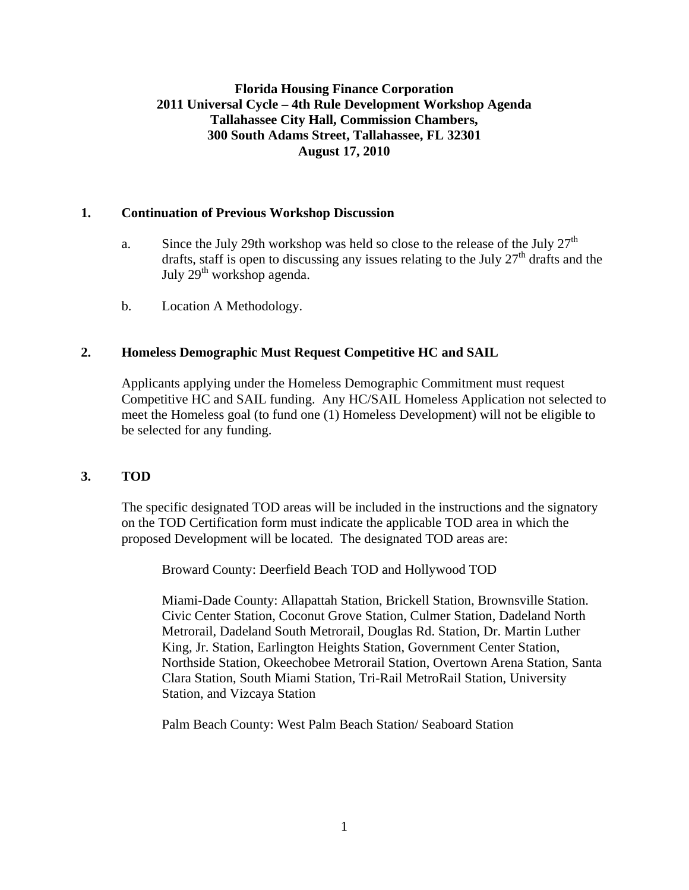# **Florida Housing Finance Corporation 2011 Universal Cycle – 4th Rule Development Workshop Agenda Tallahassee City Hall, Commission Chambers, 300 South Adams Street, Tallahassee, FL 32301 August 17, 2010**

#### **1. Continuation of Previous Workshop Discussion**

- a. Since the July 29th workshop was held so close to the release of the July  $27<sup>th</sup>$ drafts, staff is open to discussing any issues relating to the July  $27<sup>th</sup>$  drafts and the July 29<sup>th</sup> workshop agenda.
- b. Location A Methodology.

# **2. Homeless Demographic Must Request Competitive HC and SAIL**

 Applicants applying under the Homeless Demographic Commitment must request Competitive HC and SAIL funding. Any HC/SAIL Homeless Application not selected to meet the Homeless goal (to fund one (1) Homeless Development) will not be eligible to be selected for any funding.

#### **3. TOD**

 The specific designated TOD areas will be included in the instructions and the signatory on the TOD Certification form must indicate the applicable TOD area in which the proposed Development will be located. The designated TOD areas are:

Broward County: Deerfield Beach TOD and Hollywood TOD

Miami-Dade County: Allapattah Station, Brickell Station, Brownsville Station. Civic Center Station, Coconut Grove Station, Culmer Station, Dadeland North Metrorail, Dadeland South Metrorail, Douglas Rd. Station, Dr. Martin Luther King, Jr. Station, Earlington Heights Station, Government Center Station, Northside Station, Okeechobee Metrorail Station, Overtown Arena Station, Santa Clara Station, South Miami Station, Tri-Rail MetroRail Station, University Station, and Vizcaya Station

Palm Beach County: West Palm Beach Station/ Seaboard Station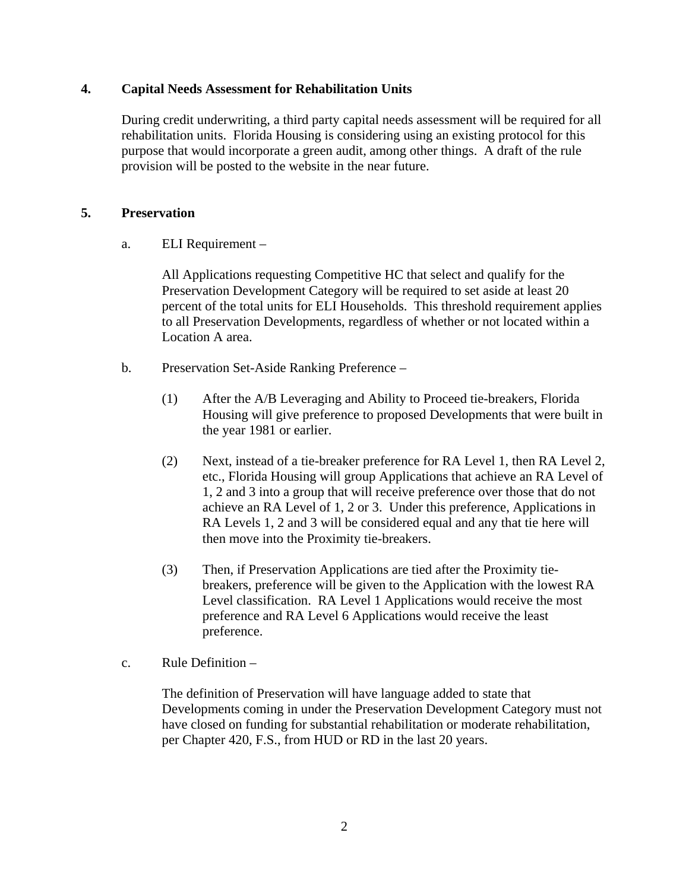#### **4. Capital Needs Assessment for Rehabilitation Units**

 During credit underwriting, a third party capital needs assessment will be required for all rehabilitation units. Florida Housing is considering using an existing protocol for this purpose that would incorporate a green audit, among other things. A draft of the rule provision will be posted to the website in the near future.

# **5. Preservation**

a. ELI Requirement –

 All Applications requesting Competitive HC that select and qualify for the Preservation Development Category will be required to set aside at least 20 percent of the total units for ELI Households. This threshold requirement applies to all Preservation Developments, regardless of whether or not located within a Location A area.

- b. Preservation Set-Aside Ranking Preference
	- (1) After the A/B Leveraging and Ability to Proceed tie-breakers, Florida Housing will give preference to proposed Developments that were built in the year 1981 or earlier.
	- (2) Next, instead of a tie-breaker preference for RA Level 1, then RA Level 2, etc., Florida Housing will group Applications that achieve an RA Level of 1, 2 and 3 into a group that will receive preference over those that do not achieve an RA Level of 1, 2 or 3. Under this preference, Applications in RA Levels 1, 2 and 3 will be considered equal and any that tie here will then move into the Proximity tie-breakers.
	- (3) Then, if Preservation Applications are tied after the Proximity tiebreakers, preference will be given to the Application with the lowest RA Level classification. RA Level 1 Applications would receive the most preference and RA Level 6 Applications would receive the least preference.
- c. Rule Definition –

 The definition of Preservation will have language added to state that Developments coming in under the Preservation Development Category must not have closed on funding for substantial rehabilitation or moderate rehabilitation, per Chapter 420, F.S., from HUD or RD in the last 20 years.